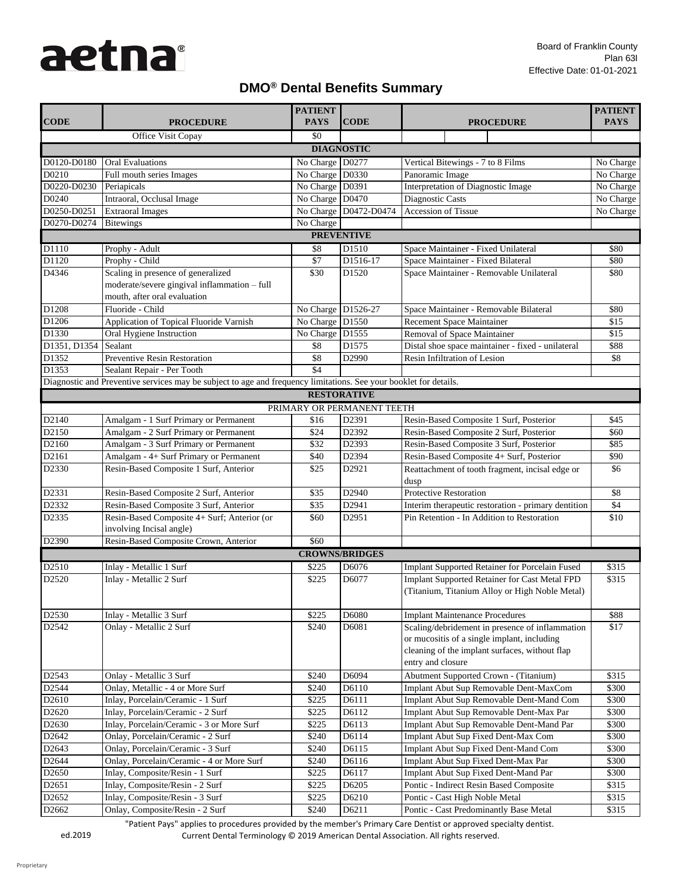## **DMO® Dental Benefits Summary**

|                   |                                                                                                                    | <b>PATIENT</b>     |                            |                                                                                                                                                                       | <b>PATIENT</b> |  |  |
|-------------------|--------------------------------------------------------------------------------------------------------------------|--------------------|----------------------------|-----------------------------------------------------------------------------------------------------------------------------------------------------------------------|----------------|--|--|
| <b>CODE</b>       | <b>PROCEDURE</b>                                                                                                   | <b>PAYS</b>        | <b>CODE</b>                | <b>PROCEDURE</b>                                                                                                                                                      | <b>PAYS</b>    |  |  |
|                   | Office Visit Copay                                                                                                 | \$0                |                            |                                                                                                                                                                       |                |  |  |
| <b>DIAGNOSTIC</b> |                                                                                                                    |                    |                            |                                                                                                                                                                       |                |  |  |
| D0120-D0180       | <b>Oral Evaluations</b>                                                                                            | No Charge D0277    |                            | Vertical Bitewings - 7 to 8 Films                                                                                                                                     | No Charge      |  |  |
| D0210             | Full mouth series Images                                                                                           | No Charge D0330    |                            | Panoramic Image                                                                                                                                                       | No Charge      |  |  |
| D0220-D0230       | Periapicals                                                                                                        | No Charge D0391    |                            | Interpretation of Diagnostic Image                                                                                                                                    | No Charge      |  |  |
| D0240             | Intraoral, Occlusal Image                                                                                          | No Charge D0470    |                            | Diagnostic Casts                                                                                                                                                      | No Charge      |  |  |
| D0250-D0251       | <b>Extraoral Images</b>                                                                                            |                    | No Charge D0472-D0474      | <b>Accession of Tissue</b>                                                                                                                                            | No Charge      |  |  |
| D0270-D0274       | <b>Bitewings</b>                                                                                                   | No Charge          |                            |                                                                                                                                                                       |                |  |  |
|                   |                                                                                                                    |                    | <b>PREVENTIVE</b>          |                                                                                                                                                                       |                |  |  |
| D1110             | Prophy - Adult                                                                                                     | \$8                | D1510                      | Space Maintainer - Fixed Unilateral                                                                                                                                   | \$80           |  |  |
| D1120             | Prophy - Child                                                                                                     | \$7                | D1516-17                   | Space Maintainer - Fixed Bilateral                                                                                                                                    | \$80           |  |  |
| D4346             | Scaling in presence of generalized<br>moderate/severe gingival inflammation - full<br>mouth, after oral evaluation | \$30               | D1520                      | Space Maintainer - Removable Unilateral                                                                                                                               | \$80           |  |  |
| D1208             | Fluoride - Child                                                                                                   | No Charge D1526-27 |                            | Space Maintainer - Removable Bilateral                                                                                                                                | \$80           |  |  |
| D1206             | Application of Topical Fluoride Varnish                                                                            | No Charge D1550    |                            | Recement Space Maintainer                                                                                                                                             | \$15           |  |  |
| D1330             | Oral Hygiene Instruction                                                                                           | No Charge D1555    |                            | Removal of Space Maintainer                                                                                                                                           | \$15           |  |  |
| D1351, D1354      | Sealant                                                                                                            | \$8                | D1575                      | Distal shoe space maintainer - fixed - unilateral                                                                                                                     | \$88           |  |  |
| D1352             | <b>Preventive Resin Restoration</b>                                                                                | \$8                | D2990                      | Resin Infiltration of Lesion                                                                                                                                          | \$8            |  |  |
| D1353             | Sealant Repair - Per Tooth                                                                                         | \$4                |                            |                                                                                                                                                                       |                |  |  |
|                   | Diagnostic and Preventive services may be subject to age and frequency limitations. See your booklet for details.  |                    |                            |                                                                                                                                                                       |                |  |  |
|                   |                                                                                                                    |                    | <b>RESTORATIVE</b>         |                                                                                                                                                                       |                |  |  |
|                   |                                                                                                                    |                    | PRIMARY OR PERMANENT TEETH |                                                                                                                                                                       |                |  |  |
| D2140             | Amalgam - 1 Surf Primary or Permanent                                                                              | \$16               | D2391                      | Resin-Based Composite 1 Surf, Posterior                                                                                                                               | \$45           |  |  |
| D2150             | Amalgam - 2 Surf Primary or Permanent                                                                              | \$24               | D2392                      | Resin-Based Composite 2 Surf, Posterior                                                                                                                               | \$60           |  |  |
| D2160             | Amalgam - 3 Surf Primary or Permanent                                                                              | \$32               | D2393                      | Resin-Based Composite 3 Surf, Posterior                                                                                                                               | \$85           |  |  |
| D2161             | Amalgam - 4+ Surf Primary or Permanent                                                                             | \$40               | D2394                      | Resin-Based Composite 4+ Surf, Posterior                                                                                                                              | \$90           |  |  |
| D2330             | Resin-Based Composite 1 Surf, Anterior                                                                             | \$25               | D2921                      | Reattachment of tooth fragment, incisal edge or<br>dusp                                                                                                               | \$6            |  |  |
| D2331             | Resin-Based Composite 2 Surf, Anterior                                                                             | \$35               | D2940                      | <b>Protective Restoration</b>                                                                                                                                         | \$8            |  |  |
| D2332             | Resin-Based Composite 3 Surf, Anterior                                                                             | \$35               | D2941                      | Interim therapeutic restoration - primary dentition                                                                                                                   | \$4            |  |  |
| D2335             | Resin-Based Composite 4+ Surf; Anterior (or<br>involving Incisal angle)                                            | \$60               | D2951                      | Pin Retention - In Addition to Restoration                                                                                                                            | \$10           |  |  |
| D2390             | Resin-Based Composite Crown, Anterior                                                                              | \$60               |                            |                                                                                                                                                                       |                |  |  |
|                   |                                                                                                                    |                    | <b>CROWNS/BRIDGES</b>      |                                                                                                                                                                       |                |  |  |
| D2510             | Inlay - Metallic 1 Surf                                                                                            | \$225              | D6076                      | <b>Implant Supported Retainer for Porcelain Fused</b>                                                                                                                 | \$315          |  |  |
| D2520             | Inlay - Metallic 2 Surf                                                                                            | \$225              | D6077                      | <b>Implant Supported Retainer for Cast Metal FPD</b><br>(Titanium, Titanium Alloy or High Noble Metal)                                                                | \$315          |  |  |
| D2530             | Inlay - Metallic 3 Surf                                                                                            | \$225              | D6080                      | <b>Implant Maintenance Procedures</b>                                                                                                                                 | \$88           |  |  |
| D2542             | Onlay - Metallic 2 Surf                                                                                            | \$240              | D6081                      | Scaling/debridement in presence of inflammation<br>or mucositis of a single implant, including<br>cleaning of the implant surfaces, without flap<br>entry and closure | \$17           |  |  |
| D2543             | Onlay - Metallic 3 Surf                                                                                            | \$240              | D6094                      | <b>Abutment Supported Crown - (Titanium)</b>                                                                                                                          | \$315          |  |  |
| D2544             | Onlay, Metallic - 4 or More Surf                                                                                   | \$240              | D6110                      | Implant Abut Sup Removable Dent-MaxCom                                                                                                                                | \$300          |  |  |
| D <sub>2610</sub> | Inlay, Porcelain/Ceramic - 1 Surf                                                                                  | \$225              | D6111                      | Implant Abut Sup Removable Dent-Mand Com                                                                                                                              | \$300          |  |  |
| D2620             | Inlay, Porcelain/Ceramic - 2 Surf                                                                                  | \$225              | D6112                      | Implant Abut Sup Removable Dent-Max Par                                                                                                                               | \$300          |  |  |
| D2630             | Inlay, Porcelain/Ceramic - 3 or More Surf                                                                          | \$225              | D6113                      | Implant Abut Sup Removable Dent-Mand Par                                                                                                                              | \$300          |  |  |
| D2642             | Onlay, Porcelain/Ceramic - 2 Surf                                                                                  | \$240              | D6114                      | Implant Abut Sup Fixed Dent-Max Com                                                                                                                                   | \$300          |  |  |
| D2643             | Onlay, Porcelain/Ceramic - 3 Surf                                                                                  | \$240              | D6115                      | Implant Abut Sup Fixed Dent-Mand Com                                                                                                                                  | \$300          |  |  |
| D2644             | Onlay, Porcelain/Ceramic - 4 or More Surf                                                                          | \$240              | D6116                      | Implant Abut Sup Fixed Dent-Max Par                                                                                                                                   | \$300          |  |  |
| D2650             | Inlay, Composite/Resin - 1 Surf                                                                                    | \$225              | D6117                      | Implant Abut Sup Fixed Dent-Mand Par                                                                                                                                  | \$300          |  |  |
| D2651             | Inlay, Composite/Resin - 2 Surf                                                                                    | \$225              | D6205                      | Pontic - Indirect Resin Based Composite                                                                                                                               | \$315          |  |  |
| D2652             | Inlay, Composite/Resin - 3 Surf                                                                                    | \$225              | D6210                      | Pontic - Cast High Noble Metal                                                                                                                                        | \$315          |  |  |
| D2662             | Onlay, Composite/Resin - 2 Surf                                                                                    | \$240              | D6211                      | Pontic - Cast Predominantly Base Metal                                                                                                                                | \$315          |  |  |

"Patient Pays" applies to procedures provided by the member's Primary Care Dentist or approved specialty dentist.

ed.2019 Current Dental Terminology © 2019 American Dental Association. All rights reserved.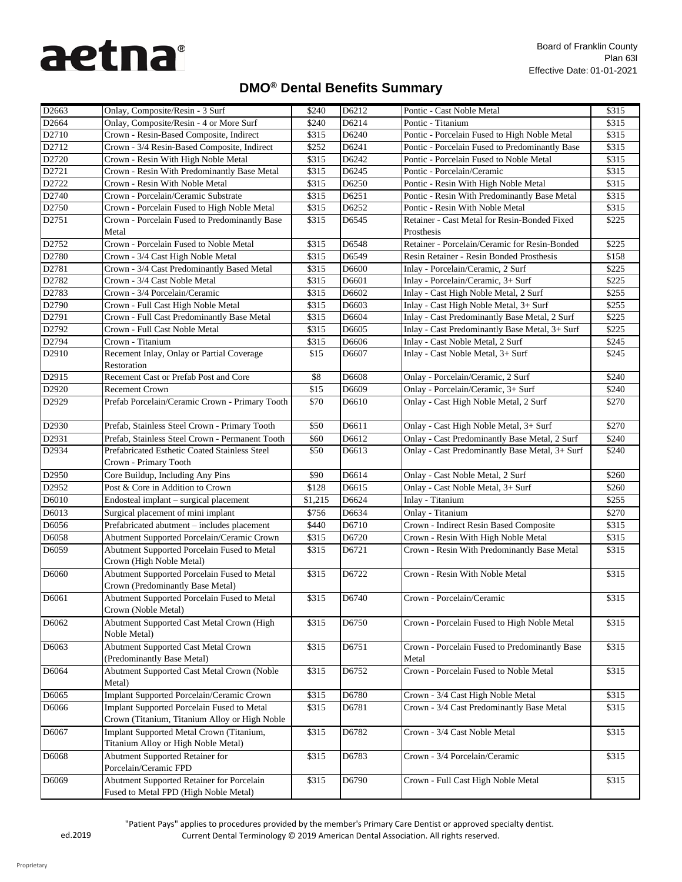## **DMO® Dental Benefits Summary**

| D2663             | Onlay, Composite/Resin - 3 Surf                                                           | \$240   | D6212 | Pontic - Cast Noble Metal                              | \$315 |
|-------------------|-------------------------------------------------------------------------------------------|---------|-------|--------------------------------------------------------|-------|
| D2664             | Onlay, Composite/Resin - 4 or More Surf                                                   | \$240   | D6214 | Pontic - Titanium                                      | \$315 |
| D2710             | Crown - Resin-Based Composite, Indirect                                                   | \$315   | D6240 | Pontic - Porcelain Fused to High Noble Metal           | \$315 |
| D2712             | Crown - 3/4 Resin-Based Composite, Indirect                                               | \$252   | D6241 | Pontic - Porcelain Fused to Predominantly Base         | \$315 |
| D2720             | Crown - Resin With High Noble Metal                                                       | \$315   | D6242 | Pontic - Porcelain Fused to Noble Metal                | \$315 |
| D2721             | Crown - Resin With Predominantly Base Metal                                               | \$315   | D6245 | Pontic - Porcelain/Ceramic                             | \$315 |
| D2722             | Crown - Resin With Noble Metal                                                            | \$315   | D6250 | Pontic - Resin With High Noble Metal                   | \$315 |
| D2740             | Crown - Porcelain/Ceramic Substrate                                                       | \$315   | D6251 | Pontic - Resin With Predominantly Base Metal           | \$315 |
| D2750             | Crown - Porcelain Fused to High Noble Metal                                               | \$315   | D6252 | Pontic - Resin With Noble Metal                        | \$315 |
| D2751             | Crown - Porcelain Fused to Predominantly Base                                             | \$315   | D6545 | Retainer - Cast Metal for Resin-Bonded Fixed           | \$225 |
|                   | Metal                                                                                     |         |       | Prosthesis                                             |       |
| D2752             | Crown - Porcelain Fused to Noble Metal                                                    | \$315   | D6548 | Retainer - Porcelain/Ceramic for Resin-Bonded          | \$225 |
| D2780             | Crown - 3/4 Cast High Noble Metal                                                         | \$315   | D6549 | Resin Retainer - Resin Bonded Prosthesis               | \$158 |
| D2781             | Crown - 3/4 Cast Predominantly Based Metal                                                | \$315   | D6600 | Inlay - Porcelain/Ceramic, 2 Surf                      | \$225 |
| D2782             | Crown - 3/4 Cast Noble Metal                                                              | \$315   | D6601 | Inlay - Porcelain/Ceramic, 3+ Surf                     | \$225 |
| D2783             | Crown - 3/4 Porcelain/Ceramic                                                             | \$315   | D6602 | Inlay - Cast High Noble Metal, 2 Surf                  | \$255 |
| D2790             | Crown - Full Cast High Noble Metal                                                        | \$315   | D6603 | Inlay - Cast High Noble Metal, 3+ Surf                 | \$255 |
| D2791             | Crown - Full Cast Predominantly Base Metal                                                | \$315   | D6604 | Inlay - Cast Predominantly Base Metal, 2 Surf          | \$225 |
| D2792             | Crown - Full Cast Noble Metal                                                             | \$315   | D6605 | Inlay - Cast Predominantly Base Metal, 3+ Surf         | \$225 |
| D2794             | Crown - Titanium                                                                          | \$315   | D6606 | Inlay - Cast Noble Metal, 2 Surf                       | \$245 |
| D2910             | Recement Inlay, Onlay or Partial Coverage<br>Restoration                                  | \$15    | D6607 | Inlay - Cast Noble Metal, 3+ Surf                      | \$245 |
| D2915             | Recement Cast or Prefab Post and Core                                                     | \$8     | D6608 | Onlay - Porcelain/Ceramic, 2 Surf                      | \$240 |
| D2920             | <b>Recement Crown</b>                                                                     | \$15    | D6609 | Onlay - Porcelain/Ceramic, 3+ Surf                     | \$240 |
| D2929             | Prefab Porcelain/Ceramic Crown - Primary Tooth                                            | \$70    | D6610 | Onlay - Cast High Noble Metal, 2 Surf                  | \$270 |
| D2930             | Prefab, Stainless Steel Crown - Primary Tooth                                             | \$50    | D6611 | Onlay - Cast High Noble Metal, 3+ Surf                 | \$270 |
| D2931             | Prefab, Stainless Steel Crown - Permanent Tooth                                           | \$60    | D6612 | <b>Onlay - Cast Predominantly Base Metal, 2 Surf</b>   | \$240 |
| D2934             | Prefabricated Esthetic Coated Stainless Steel                                             | \$50    | D6613 | Onlay - Cast Predominantly Base Metal, 3+ Surf         | \$240 |
|                   | Crown - Primary Tooth                                                                     |         |       |                                                        |       |
| D2950             | Core Buildup, Including Any Pins                                                          | \$90    | D6614 | Onlay - Cast Noble Metal, 2 Surf                       | \$260 |
| D <sub>2952</sub> | Post & Core in Addition to Crown                                                          | \$128   | D6615 | Onlay - Cast Noble Metal, 3+ Surf                      | \$260 |
| D6010             | Endosteal implant – surgical placement                                                    | \$1,215 | D6624 | Inlay - Titanium                                       | \$255 |
| D6013             | Surgical placement of mini implant                                                        | \$756   | D6634 | Onlay - Titanium                                       | \$270 |
| D6056             | Prefabricated abutment - includes placement                                               | \$440   | D6710 | Crown - Indirect Resin Based Composite                 | \$315 |
| D6058             | <b>Abutment Supported Porcelain/Ceramic Crown</b>                                         | \$315   | D6720 | Crown - Resin With High Noble Metal                    | \$315 |
| D6059             | Abutment Supported Porcelain Fused to Metal<br>Crown (High Noble Metal)                   | \$315   | D6721 | Crown - Resin With Predominantly Base Metal            | \$315 |
| D6060             | Abutment Supported Porcelain Fused to Metal                                               | \$315   | D6722 | Crown - Resin With Noble Metal                         | \$315 |
|                   | Crown (Predominantly Base Metal)                                                          |         |       |                                                        |       |
| D6061             | Abutment Supported Porcelain Fused to Metal<br>Crown (Noble Metal)                        | \$315   | D6740 | Crown - Porcelain/Ceramic                              | \$315 |
| D6062             | Abutment Supported Cast Metal Crown (High                                                 | \$315   | D6750 | Crown - Porcelain Fused to High Noble Metal            | \$315 |
|                   | Noble Metal)                                                                              |         |       |                                                        |       |
| D6063             | <b>Abutment Supported Cast Metal Crown</b><br>(Predominantly Base Metal)                  | \$315   | D6751 | Crown - Porcelain Fused to Predominantly Base<br>Metal | \$315 |
| D6064             | Abutment Supported Cast Metal Crown (Noble<br>Metal)                                      | \$315   | D6752 | Crown - Porcelain Fused to Noble Metal                 | \$315 |
| D6065             | <b>Implant Supported Porcelain/Ceramic Crown</b>                                          | \$315   | D6780 | Crown - 3/4 Cast High Noble Metal                      | \$315 |
| D6066             | <b>Implant Supported Porcelain Fused to Metal</b>                                         | \$315   | D6781 | Crown - 3/4 Cast Predominantly Base Metal              | \$315 |
|                   | Crown (Titanium, Titanium Alloy or High Noble                                             |         |       |                                                        |       |
| D6067             | Implant Supported Metal Crown (Titanium,                                                  | \$315   | D6782 | Crown - 3/4 Cast Noble Metal                           | \$315 |
|                   | Titanium Alloy or High Noble Metal)                                                       |         |       |                                                        |       |
| D6068             | <b>Abutment Supported Retainer for</b>                                                    | \$315   | D6783 | Crown - 3/4 Porcelain/Ceramic                          | \$315 |
|                   | Porcelain/Ceramic FPD                                                                     |         |       |                                                        |       |
| D6069             | <b>Abutment Supported Retainer for Porcelain</b><br>Fused to Metal FPD (High Noble Metal) | \$315   | D6790 | Crown - Full Cast High Noble Metal                     | \$315 |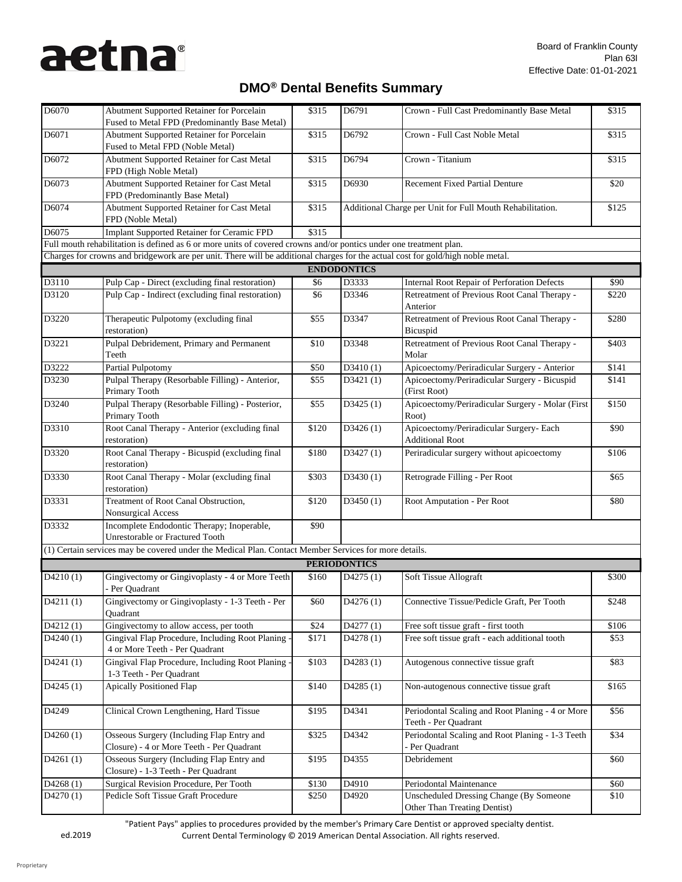## **DMO® Dental Benefits Summary**

| D6070    | <b>Abutment Supported Retainer for Porcelain</b><br>Fused to Metal FPD (Predominantly Base Metal)                               | \$315 | D6791               | Crown - Full Cast Predominantly Base Metal                                            | \$315 |
|----------|---------------------------------------------------------------------------------------------------------------------------------|-------|---------------------|---------------------------------------------------------------------------------------|-------|
| D6071    | <b>Abutment Supported Retainer for Porcelain</b><br>Fused to Metal FPD (Noble Metal)                                            | \$315 | D6792               | Crown - Full Cast Noble Metal                                                         | \$315 |
| D6072    | Abutment Supported Retainer for Cast Metal<br>FPD (High Noble Metal)                                                            | \$315 | D6794               | Crown - Titanium                                                                      | \$315 |
| D6073    | Abutment Supported Retainer for Cast Metal<br>FPD (Predominantly Base Metal)                                                    | \$315 | D6930               | <b>Recement Fixed Partial Denture</b>                                                 | \$20  |
| D6074    | Abutment Supported Retainer for Cast Metal<br>FPD (Noble Metal)                                                                 | \$315 |                     | Additional Charge per Unit for Full Mouth Rehabilitation.                             | \$125 |
| D6075    | <b>Implant Supported Retainer for Ceramic FPD</b>                                                                               | \$315 |                     |                                                                                       |       |
|          | Full mouth rehabilitation is defined as 6 or more units of covered crowns and/or pontics under one treatment plan.              |       |                     |                                                                                       |       |
|          | Charges for crowns and bridgework are per unit. There will be additional charges for the actual cost for gold/high noble metal. |       |                     |                                                                                       |       |
|          |                                                                                                                                 |       | <b>ENDODONTICS</b>  |                                                                                       |       |
| D3110    | Pulp Cap - Direct (excluding final restoration)                                                                                 | \$6   | D3333               | <b>Internal Root Repair of Perforation Defects</b>                                    | \$90  |
| D3120    | Pulp Cap - Indirect (excluding final restoration)                                                                               | \$6   | D3346               | Retreatment of Previous Root Canal Therapy -<br>Anterior                              | \$220 |
| D3220    | Therapeutic Pulpotomy (excluding final<br>restoration)                                                                          | \$55  | D3347               | Retreatment of Previous Root Canal Therapy -<br>Bicuspid                              | \$280 |
| D3221    | Pulpal Debridement, Primary and Permanent<br>Teeth                                                                              | \$10  | D3348               | Retreatment of Previous Root Canal Therapy -<br>Molar                                 | \$403 |
| D3222    | Partial Pulpotomy                                                                                                               | \$50  | D3410(1)            | Apicoectomy/Periradicular Surgery - Anterior                                          | \$141 |
| D3230    | Pulpal Therapy (Resorbable Filling) - Anterior,<br>Primary Tooth                                                                | \$55  | D3421(1)            | Apicoectomy/Periradicular Surgery - Bicuspid<br>(First Root)                          | \$141 |
| D3240    | Pulpal Therapy (Resorbable Filling) - Posterior,<br>Primary Tooth                                                               | \$55  | D3425(1)            | Apicoectomy/Periradicular Surgery - Molar (First<br>Root)                             | \$150 |
| D3310    | Root Canal Therapy - Anterior (excluding final<br>restoration)                                                                  | \$120 | D3426(1)            | Apicoectomy/Periradicular Surgery- Each<br><b>Additional Root</b>                     | \$90  |
| D3320    | Root Canal Therapy - Bicuspid (excluding final<br>restoration)                                                                  | \$180 | D3427(1)            | Periradicular surgery without apicoectomy                                             | \$106 |
| D3330    | Root Canal Therapy - Molar (excluding final<br>restoration)                                                                     | \$303 | D3430(1)            | Retrograde Filling - Per Root                                                         | \$65  |
| D3331    | Treatment of Root Canal Obstruction,<br>Nonsurgical Access                                                                      | \$120 | D3450(1)            | Root Amputation - Per Root                                                            | \$80  |
| D3332    | Incomplete Endodontic Therapy; Inoperable,<br><b>Unrestorable or Fractured Tooth</b>                                            | \$90  |                     |                                                                                       |       |
|          | (1) Certain services may be covered under the Medical Plan. Contact Member Services for more details.                           |       |                     |                                                                                       |       |
|          |                                                                                                                                 |       | <b>PERIODONTICS</b> |                                                                                       |       |
| D4210(1) | Gingivectomy or Gingivoplasty - 4 or More Teeth<br>- Per Quadrant                                                               | \$160 | D4275(1)            | Soft Tissue Allograft                                                                 | \$300 |
| D4211(1) | Gingivectomy or Gingivoplasty - 1-3 Teeth - Per<br>Quadrant                                                                     | \$60  | D4276(1)            | Connective Tissue/Pedicle Graft, Per Tooth                                            | \$248 |
| D4212(1) | Gingivectomy to allow access, per tooth                                                                                         | \$24  | D4277(1)            | Free soft tissue graft - first tooth                                                  | \$106 |
| D4240(1) | Gingival Flap Procedure, Including Root Planing -<br>4 or More Teeth - Per Quadrant                                             | \$171 | D4278(1)            | Free soft tissue graft - each additional tooth                                        | \$53  |
| D4241(1) | Gingival Flap Procedure, Including Root Planing -<br>1-3 Teeth - Per Quadrant                                                   | \$103 | D4283(1)            | Autogenous connective tissue graft                                                    | \$83  |
| D4245(1) | <b>Apically Positioned Flap</b>                                                                                                 | \$140 | D4285(1)            | Non-autogenous connective tissue graft                                                | \$165 |
| D4249    | Clinical Crown Lengthening, Hard Tissue                                                                                         | \$195 | D4341               | Periodontal Scaling and Root Planing - 4 or More<br>Teeth - Per Quadrant              | \$56  |
| D4260(1) | Osseous Surgery (Including Flap Entry and<br>Closure) - 4 or More Teeth - Per Quadrant                                          | \$325 | D4342               | Periodontal Scaling and Root Planing - 1-3 Teeth<br>- Per Quadrant                    | \$34  |
| D4261(1) | Osseous Surgery (Including Flap Entry and<br>Closure) - 1-3 Teeth - Per Quadrant                                                | \$195 | D4355               | Debridement                                                                           | \$60  |
| D4268(1) | Surgical Revision Procedure, Per Tooth                                                                                          | \$130 | D4910               | Periodontal Maintenance                                                               | \$60  |
| D4270(1) | Pedicle Soft Tissue Graft Procedure                                                                                             | \$250 | D4920               | <b>Unscheduled Dressing Change (By Someone</b><br><b>Other Than Treating Dentist)</b> | \$10  |

"Patient Pays" applies to procedures provided by the member's Primary Care Dentist or approved specialty dentist.

ed.2019 Current Dental Terminology © 2019 American Dental Association. All rights reserved.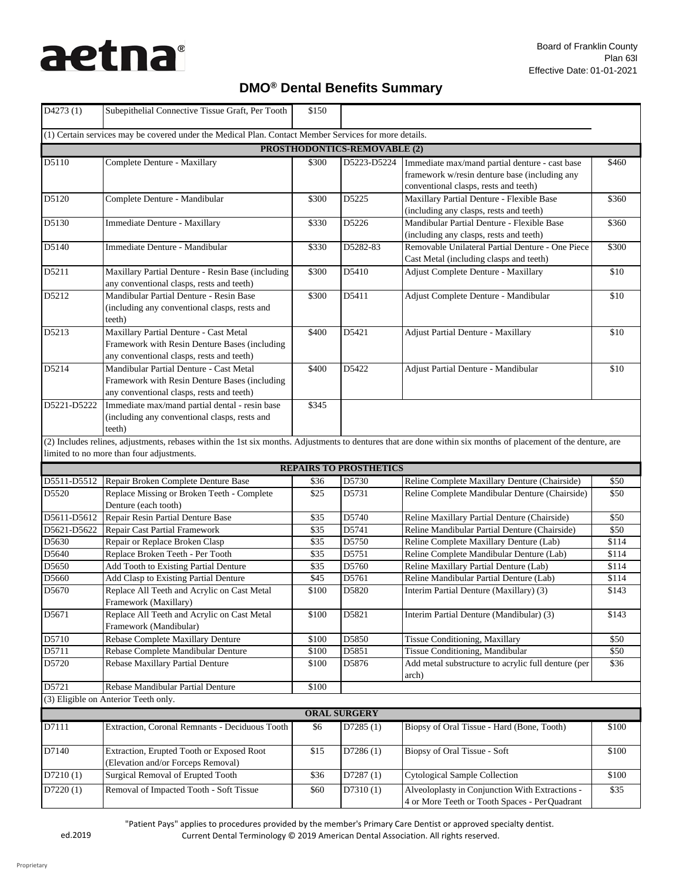## **DMO® Dental Benefits Summary**

| D4273(1)                     | Subepithelial Connective Tissue Graft, Per Tooth                                                                                                               | \$150         |                               |                                                                                                                                          |                |  |  |
|------------------------------|----------------------------------------------------------------------------------------------------------------------------------------------------------------|---------------|-------------------------------|------------------------------------------------------------------------------------------------------------------------------------------|----------------|--|--|
|                              | (1) Certain services may be covered under the Medical Plan. Contact Member Services for more details.                                                          |               |                               |                                                                                                                                          |                |  |  |
| PROSTHODONTICS-REMOVABLE (2) |                                                                                                                                                                |               |                               |                                                                                                                                          |                |  |  |
| D5110                        | <b>Complete Denture - Maxillary</b>                                                                                                                            | \$300         | D5223-D5224                   | Immediate max/mand partial denture - cast base<br>framework w/resin denture base (including any<br>conventional clasps, rests and teeth) | \$460          |  |  |
| D5120                        | Complete Denture - Mandibular                                                                                                                                  | \$300         | D5225                         | Maxillary Partial Denture - Flexible Base<br>(including any clasps, rests and teeth)                                                     | \$360          |  |  |
| D5130                        | Immediate Denture - Maxillary                                                                                                                                  | \$330         | D5226                         | Mandibular Partial Denture - Flexible Base<br>(including any clasps, rests and teeth)                                                    | \$360          |  |  |
| D5140                        | Immediate Denture - Mandibular                                                                                                                                 | \$330         | D5282-83                      | Removable Unilateral Partial Denture - One Piece<br>Cast Metal (including clasps and teeth)                                              | \$300          |  |  |
| D5211                        | Maxillary Partial Denture - Resin Base (including<br>any conventional clasps, rests and teeth)                                                                 | \$300         | D5410                         | <b>Adjust Complete Denture - Maxillary</b>                                                                                               | \$10           |  |  |
| D5212                        | Mandibular Partial Denture - Resin Base<br>(including any conventional clasps, rests and<br>teeth)                                                             | \$300         | D5411                         | Adjust Complete Denture - Mandibular                                                                                                     | \$10           |  |  |
| D5213                        | Maxillary Partial Denture - Cast Metal<br>Framework with Resin Denture Bases (including<br>any conventional clasps, rests and teeth)                           | \$400         | D5421                         | <b>Adjust Partial Denture - Maxillary</b>                                                                                                | \$10           |  |  |
| D5214                        | Mandibular Partial Denture - Cast Metal<br>Framework with Resin Denture Bases (including<br>any conventional clasps, rests and teeth)                          | \$400         | D5422                         | Adjust Partial Denture - Mandibular                                                                                                      | \$10           |  |  |
| D5221-D5222                  | Immediate max/mand partial dental - resin base<br>(including any conventional clasps, rests and<br>teeth)                                                      | \$345         |                               |                                                                                                                                          |                |  |  |
|                              | (2) Includes relines, adjustments, rebases within the 1st six months. Adjustments to dentures that are done within six months of placement of the denture, are |               |                               |                                                                                                                                          |                |  |  |
|                              | limited to no more than four adjustments.                                                                                                                      |               |                               |                                                                                                                                          |                |  |  |
|                              |                                                                                                                                                                |               | <b>REPAIRS TO PROSTHETICS</b> |                                                                                                                                          |                |  |  |
| D5511-D5512                  | Repair Broken Complete Denture Base                                                                                                                            | \$36          | D5730                         | Reline Complete Maxillary Denture (Chairside)                                                                                            | \$50           |  |  |
| D5520                        | Replace Missing or Broken Teeth - Complete<br>Denture (each tooth)                                                                                             | \$25          | D5731                         | Reline Complete Mandibular Denture (Chairside)                                                                                           | \$50           |  |  |
| D5611-D5612                  | Repair Resin Partial Denture Base                                                                                                                              | \$35          | D5740                         | Reline Maxillary Partial Denture (Chairside)                                                                                             | \$50           |  |  |
| D5621-D5622                  | <b>Repair Cast Partial Framework</b>                                                                                                                           | \$35          | D5741                         | Reline Mandibular Partial Denture (Chairside)                                                                                            | \$50           |  |  |
| D5630                        | Repair or Replace Broken Clasp                                                                                                                                 | \$35          | D5750                         | Reline Complete Maxillary Denture (Lab)                                                                                                  | \$114          |  |  |
| D5640                        | Replace Broken Teeth - Per Tooth                                                                                                                               | \$35          | D5751                         | Reline Complete Mandibular Denture (Lab)                                                                                                 | \$114          |  |  |
| D5650                        | Add Tooth to Existing Partial Denture                                                                                                                          | \$35          | D5760                         | Reline Maxillary Partial Denture (Lab)                                                                                                   | \$114          |  |  |
| D5660<br>D5670               | Add Clasp to Existing Partial Denture<br>Replace All Teeth and Acrylic on Cast Metal<br>Framework (Maxillary)                                                  | \$45<br>\$100 | D5761<br>D5820                | Reline Mandibular Partial Denture (Lab)<br>Interim Partial Denture (Maxillary) (3)                                                       | \$114<br>\$143 |  |  |
| D5671                        | Replace All Teeth and Acrylic on Cast Metal<br>Framework (Mandibular)                                                                                          | \$100         | D5821                         | Interim Partial Denture (Mandibular) (3)                                                                                                 | \$143          |  |  |
| D5710                        | <b>Rebase Complete Maxillary Denture</b>                                                                                                                       | \$100         | D5850                         | Tissue Conditioning, Maxillary                                                                                                           | \$50           |  |  |
| D5711                        | Rebase Complete Mandibular Denture                                                                                                                             | \$100         | D5851                         | Tissue Conditioning, Mandibular                                                                                                          | \$50           |  |  |
| D5720                        | Rebase Maxillary Partial Denture                                                                                                                               | \$100         | D5876                         | Add metal substructure to acrylic full denture (per                                                                                      | \$36           |  |  |
| D5721                        |                                                                                                                                                                |               |                               | arch)                                                                                                                                    |                |  |  |
|                              | Rebase Mandibular Partial Denture                                                                                                                              | \$100         |                               |                                                                                                                                          |                |  |  |
|                              | (3) Eligible on Anterior Teeth only.                                                                                                                           |               |                               |                                                                                                                                          |                |  |  |
|                              |                                                                                                                                                                |               | <b>ORAL SURGERY</b>           |                                                                                                                                          |                |  |  |
| D7111                        | Extraction, Coronal Remnants - Deciduous Tooth                                                                                                                 | \$6           | D7285(1)                      | Biopsy of Oral Tissue - Hard (Bone, Tooth)                                                                                               | \$100          |  |  |
| D7140                        | <b>Extraction, Erupted Tooth or Exposed Root</b><br>(Elevation and/or Forceps Removal)                                                                         | \$15          | D7286(1)                      | Biopsy of Oral Tissue - Soft                                                                                                             | \$100          |  |  |
| D7210(1)                     | <b>Surgical Removal of Erupted Tooth</b>                                                                                                                       | \$36          | D7287(1)                      | <b>Cytological Sample Collection</b>                                                                                                     | \$100          |  |  |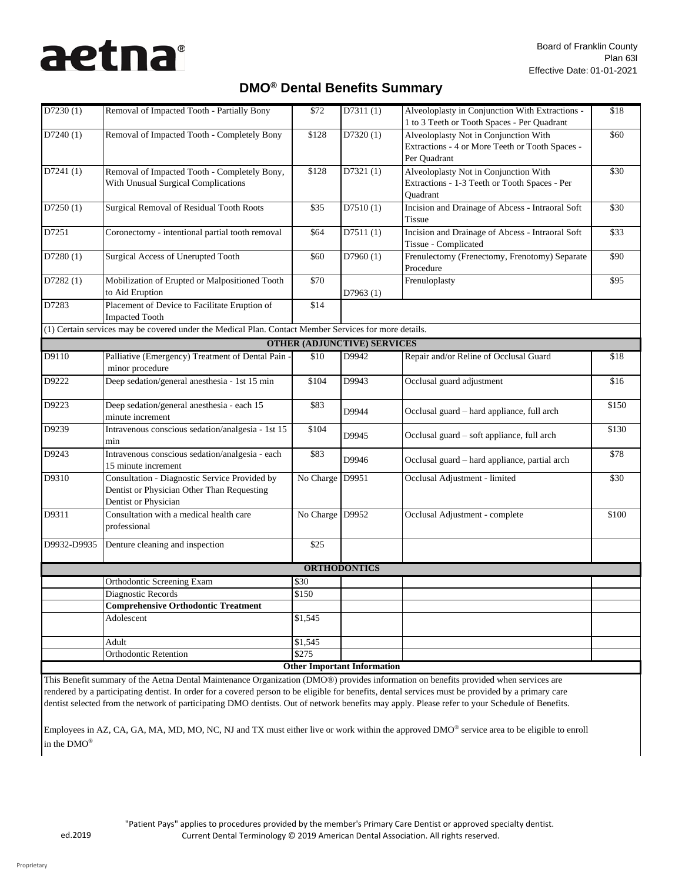$\mathbf{I}$ 

## **DMO® Dental Benefits Summary**

| D7230(1)    | Removal of Impacted Tooth - Partially Bony                                                                          | \$72            | D7311(1)                           | Alveoloplasty in Conjunction With Extractions -<br>1 to 3 Teeth or Tooth Spaces - Per Quadrant           | \$18  |  |  |  |  |  |  |
|-------------|---------------------------------------------------------------------------------------------------------------------|-----------------|------------------------------------|----------------------------------------------------------------------------------------------------------|-------|--|--|--|--|--|--|
| D7240(1)    | Removal of Impacted Tooth - Completely Bony                                                                         | \$128           | D7320(1)                           | Alveoloplasty Not in Conjunction With<br>Extractions - 4 or More Teeth or Tooth Spaces -<br>Per Quadrant | \$60  |  |  |  |  |  |  |
| D7241(1)    | Removal of Impacted Tooth - Completely Bony,<br><b>With Unusual Surgical Complications</b>                          | \$128           | D7321(1)                           | Alveoloplasty Not in Conjunction With<br>Extractions - 1-3 Teeth or Tooth Spaces - Per<br>Quadrant       | \$30  |  |  |  |  |  |  |
| D7250(1)    | <b>Surgical Removal of Residual Tooth Roots</b>                                                                     | \$35            | D7510(1)                           | Incision and Drainage of Abcess - Intraoral Soft<br><b>Tissue</b>                                        | \$30  |  |  |  |  |  |  |
| D7251       | Coronectomy - intentional partial tooth removal                                                                     | \$64            | D7511(1)                           | Incision and Drainage of Abcess - Intraoral Soft<br>Tissue - Complicated                                 | \$33  |  |  |  |  |  |  |
| D7280(1)    | <b>Surgical Access of Unerupted Tooth</b>                                                                           | \$60            | D7960(1)                           | Frenulectomy (Frenectomy, Frenotomy) Separate<br>Procedure                                               | \$90  |  |  |  |  |  |  |
| D7282(1)    | Mobilization of Erupted or Malpositioned Tooth<br>to Aid Eruption                                                   | \$70            | D7963(1)                           | Frenuloplasty                                                                                            | \$95  |  |  |  |  |  |  |
| D7283       | Placement of Device to Facilitate Eruption of<br><b>Impacted Tooth</b>                                              | \$14            |                                    |                                                                                                          |       |  |  |  |  |  |  |
|             | (1) Certain services may be covered under the Medical Plan. Contact Member Services for more details.               |                 |                                    |                                                                                                          |       |  |  |  |  |  |  |
|             |                                                                                                                     |                 | <b>OTHER (ADJUNCTIVE) SERVICES</b> |                                                                                                          |       |  |  |  |  |  |  |
| D9110       | Palliative (Emergency) Treatment of Dental Pain -<br>minor procedure                                                | \$10            | D9942                              | Repair and/or Reline of Occlusal Guard                                                                   | \$18  |  |  |  |  |  |  |
| D9222       | Deep sedation/general anesthesia - 1st 15 min                                                                       | \$104           | D9943                              | Occlusal guard adjustment                                                                                | \$16  |  |  |  |  |  |  |
| D9223       | Deep sedation/general anesthesia - each 15<br>minute increment                                                      | \$83            | D9944                              | Occlusal guard - hard appliance, full arch                                                               | \$150 |  |  |  |  |  |  |
| D9239       | Intravenous conscious sedation/analgesia - 1st 15<br>min                                                            | \$104           | D9945                              | Occlusal guard - soft appliance, full arch                                                               | \$130 |  |  |  |  |  |  |
| D9243       | Intravenous conscious sedation/analgesia - each<br>15 minute increment                                              | \$83            | D9946                              | Occlusal guard - hard appliance, partial arch                                                            | \$78  |  |  |  |  |  |  |
| D9310       | Consultation - Diagnostic Service Provided by<br>Dentist or Physician Other Than Requesting<br>Dentist or Physician | No Charge D9951 |                                    | Occlusal Adjustment - limited                                                                            | \$30  |  |  |  |  |  |  |
| D9311       | Consultation with a medical health care<br>professional                                                             | No Charge D9952 |                                    | Occlusal Adjustment - complete                                                                           | \$100 |  |  |  |  |  |  |
| D9932-D9935 | Denture cleaning and inspection                                                                                     | \$25            |                                    |                                                                                                          |       |  |  |  |  |  |  |
|             |                                                                                                                     |                 | <b>ORTHODONTICS</b>                |                                                                                                          |       |  |  |  |  |  |  |
|             | <b>Orthodontic Screening Exam</b>                                                                                   | \$30            |                                    |                                                                                                          |       |  |  |  |  |  |  |
|             | Diagnostic Records                                                                                                  | \$150           |                                    |                                                                                                          |       |  |  |  |  |  |  |
|             | <b>Comprehensive Orthodontic Treatment</b>                                                                          |                 |                                    |                                                                                                          |       |  |  |  |  |  |  |
|             | Adolescent                                                                                                          | \$1,545         |                                    |                                                                                                          |       |  |  |  |  |  |  |
|             | Adult                                                                                                               | \$1,545         |                                    |                                                                                                          |       |  |  |  |  |  |  |
|             | <b>Orthodontic Retention</b>                                                                                        | \$275           |                                    |                                                                                                          |       |  |  |  |  |  |  |
|             |                                                                                                                     |                 | <b>Other Important Information</b> |                                                                                                          |       |  |  |  |  |  |  |
|             |                                                                                                                     |                 |                                    |                                                                                                          |       |  |  |  |  |  |  |

This Benefit summary of the Aetna Dental Maintenance Organization (DMO®) provides information on benefits provided when services are rendered by a participating dentist. In order for a covered person to be eligible for benefits, dental services must be provided by a primary care dentist selected from the network of participating DMO dentists. Out of network benefits may apply. Please refer to your Schedule of Benefits.

Employees in AZ, CA, GA, MA, MD, MO, NC, NJ and TX must either live or work within the approved  $DMO^{\circledast}$  service area to be eligible to enroll in the DMO®

 $\mathbf I$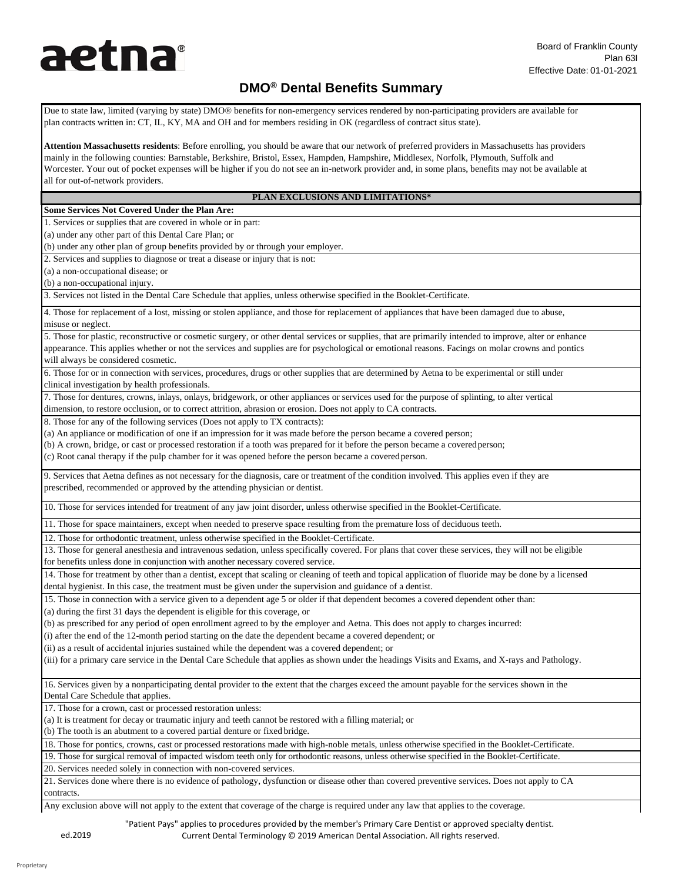## **DMO® Dental Benefits Summary**

Due to state law, limited (varying by state) DMO® benefits for non-emergency services rendered by non-participating providers are available for plan contracts written in: CT, IL, KY, MA and OH and for members residing in OK (regardless of contract situs state).

**Attention Massachusetts residents**: Before enrolling, you should be aware that our network of preferred providers in Massachusetts has providers mainly in the following counties: Barnstable, Berkshire, Bristol, Essex, Hampden, Hampshire, Middlesex, Norfolk, Plymouth, Suffolk and Worcester. Your out of pocket expenses will be higher if you do not see an in-network provider and, in some plans, benefits may not be available at all for out-of-network providers.

#### **PLAN EXCLUSIONS AND LIMITATIONS\***

#### **Some Services Not Covered Under the Plan Are:**

1. Services or supplies that are covered in whole or in part:

(a) under any other part of this Dental Care Plan; or

(b) under any other plan of group benefits provided by or through your employer.

2. Services and supplies to diagnose or treat a disease or injury that is not:

(a) a non-occupational disease; or

(b) a non-occupational injury.

3. Services not listed in the Dental Care Schedule that applies, unless otherwise specified in the Booklet-Certificate.

4. Those for replacement of a lost, missing or stolen appliance, and those for replacement of appliances that have been damaged due to abuse, misuse or neglect.

5. Those for plastic, reconstructive or cosmetic surgery, or other dental services or supplies, that are primarily intended to improve, alter or enhance appearance. This applies whether or not the services and supplies are for psychological or emotional reasons. Facings on molar crowns and pontics will always be considered cosmetic.

6. Those for or in connection with services, procedures, drugs or other supplies that are determined by Aetna to be experimental or still under clinical investigation by health professionals.

7. Those for dentures, crowns, inlays, onlays, bridgework, or other appliances or services used for the purpose of splinting, to alter vertical dimension, to restore occlusion, or to correct attrition, abrasion or erosion. Does not apply to CA contracts.

8. Those for any of the following services (Does not apply to TX contracts):

(a) An appliance or modification of one if an impression for it was made before the person became a covered person;

(b) A crown, bridge, or cast or processed restoration if a tooth was prepared for it before the person became a coveredperson;

(c) Root canal therapy if the pulp chamber for it was opened before the person became a coveredperson.

9. Services that Aetna defines as not necessary for the diagnosis, care or treatment of the condition involved. This applies even if they are prescribed, recommended or approved by the attending physician or dentist.

10. Those for services intended for treatment of any jaw joint disorder, unless otherwise specified in the Booklet-Certificate.

11. Those for space maintainers, except when needed to preserve space resulting from the premature loss of deciduous teeth.

12. Those for orthodontic treatment, unless otherwise specified in the Booklet-Certificate.

13. Those for general anesthesia and intravenous sedation, unless specifically covered. For plans that cover these services, they will not be eligible

for benefits unless done in conjunction with another necessary covered service.

14. Those for treatment by other than a dentist, except that scaling or cleaning of teeth and topical application of fluoride may be done by a licensed dental hygienist. In this case, the treatment must be given under the supervision and guidance of a dentist.

15. Those in connection with a service given to a dependent age 5 or older if that dependent becomes a covered dependent other than:

(a) during the first 31 days the dependent is eligible for this coverage, or

(b) as prescribed for any period of open enrollment agreed to by the employer and Aetna. This does not apply to charges incurred:

(i) after the end of the 12-month period starting on the date the dependent became a covered dependent; or

(ii) as a result of accidental injuries sustained while the dependent was a covered dependent; or

(iii) for a primary care service in the Dental Care Schedule that applies as shown under the headings Visits and Exams, and X-rays and Pathology.

16. Services given by a nonparticipating dental provider to the extent that the charges exceed the amount payable for the services shown in the Dental Care Schedule that applies.

17. Those for a crown, cast or processed restoration unless:

(a) It is treatment for decay or traumatic injury and teeth cannot be restored with a filling material; or

(b) The tooth is an abutment to a covered partial denture or fixed bridge.

18. Those for pontics, crowns, cast or processed restorations made with high-noble metals, unless otherwise specified in the Booklet-Certificate.

19. Those for surgical removal of impacted wisdom teeth only for orthodontic reasons, unless otherwise specified in the Booklet-Certificate.

20. Services needed solely in connection with non-covered services.

21. Services done where there is no evidence of pathology, dysfunction or disease other than covered preventive services. Does not apply to CA contracts.

Any exclusion above will not apply to the extent that coverage of the charge is required under any law that applies to the coverage.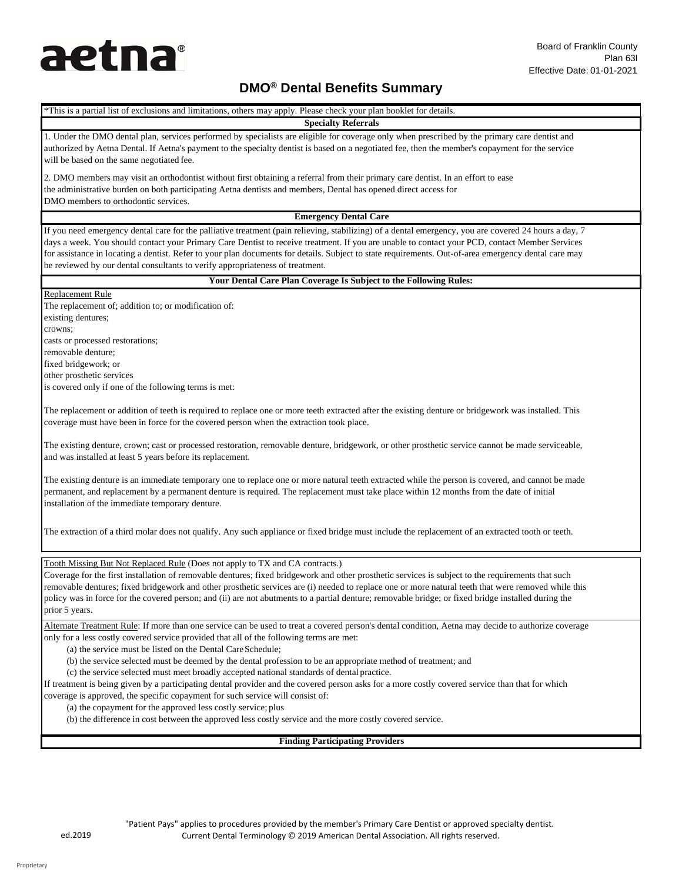## **DMO® Dental Benefits Summary**

\*This is a partial list of exclusions and limitations, others may apply. Please check your plan booklet for details. **Specialty Referrals** 1. Under the DMO dental plan, services performed by specialists are eligible for coverage only when prescribed by the primary care dentist and authorized by Aetna Dental. If Aetna's payment to the specialty dentist is based on a negotiated fee, then the member's copayment for the service will be based on the same negotiated fee. 2. DMO members may visit an orthodontist without first obtaining a referral from their primary care dentist. In an effort to ease the administrative burden on both participating Aetna dentists and members, Dental has opened direct access for DMO members to orthodontic services. **Emergency Dental Care** If you need emergency dental care for the palliative treatment (pain relieving, stabilizing) of a dental emergency, you are covered 24 hours a day, 7 days a week. You should contact your Primary Care Dentist to receive treatment. If you are unable to contact your PCD, contact Member Services for assistance in locating a dentist. Refer to your plan documents for details. Subject to state requirements. Out-of-area emergency dental care may be reviewed by our dental consultants to verify appropriateness of treatment. **Your Dental Care Plan Coverage Is Subject to the Following Rules:** Replacement Rule The replacement of; addition to; or modification of: existing dentures; crowns; casts or processed restorations; removable denture; fixed bridgework; or other prosthetic services is covered only if one of the following terms is met: The replacement or addition of teeth is required to replace one or more teeth extracted after the existing denture or bridgework was installed. This coverage must have been in force for the covered person when the extraction took place. The existing denture, crown; cast or processed restoration, removable denture, bridgework, or other prosthetic service cannot be made serviceable, and was installed at least 5 years before its replacement. The existing denture is an immediate temporary one to replace one or more natural teeth extracted while the person is covered, and cannot be made permanent, and replacement by a permanent denture is required. The replacement must take place within 12 months from the date of initial installation of the immediate temporary denture. The extraction of a third molar does not qualify. Any such appliance or fixed bridge must include the replacement of an extracted tooth or teeth. Tooth Missing But Not Replaced Rule (Does not apply to TX and CA contracts.) Coverage for the first installation of removable dentures; fixed bridgework and other prosthetic services is subject to the requirements that such removable dentures; fixed bridgework and other prosthetic services are (i) needed to replace one or more natural teeth that were removed while this policy was in force for the covered person; and (ii) are not abutments to a partial denture; removable bridge; or fixed bridge installed during the prior 5 years. Alternate Treatment Rule: If more than one service can be used to treat a covered person's dental condition, Aetna may decide to authorize coverage only for a less costly covered service provided that all of the following terms are met: (a) the service must be listed on the Dental CareSchedule; (b) the service selected must be deemed by the dental profession to be an appropriate method of treatment; and (c) the service selected must meet broadly accepted national standards of dental practice. If treatment is being given by a participating dental provider and the covered person asks for a more costly covered service than that for which coverage is approved, the specific copayment for such service will consist of: (a) the copayment for the approved less costly service; plus (b) the difference in cost between the approved less costly service and the more costly covered service. **Finding Participating Providers**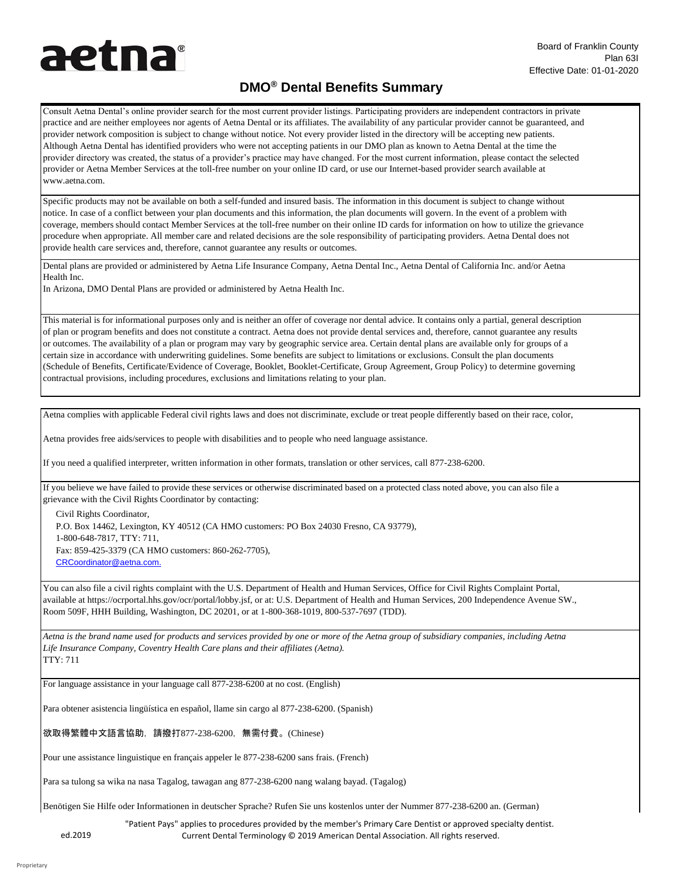## **DMO® Dental Benefits Summary**

Consult Aetna Dental's online provider search for the most current provider listings. Participating providers are independent contractors in private practice and are neither employees nor agents of Aetna Dental or its affiliates. The availability of any particular provider cannot be guaranteed, and provider network composition is subject to change without notice. Not every provider listed in the directory will be accepting new patients. Although Aetna Dental has identified providers who were not accepting patients in our DMO plan as known to Aetna Dental at the time the provider directory was created, the status of a provider's practice may have changed. For the most current information, please contact the selected provider or Aetna Member Services at the toll-free number on your online ID card, or use our Internet-based provider search available at [www.aetna.com.](http://www.aetna.com/)

Specific products may not be available on both a self-funded and insured basis. The information in this document is subject to change without notice. In case of a conflict between your plan documents and this information, the plan documents will govern. In the event of a problem with coverage, members should contact Member Services at the toll-free number on their online ID cards for information on how to utilize the grievance procedure when appropriate. All member care and related decisions are the sole responsibility of participating providers. Aetna Dental does not provide health care services and, therefore, cannot guarantee any results or outcomes.

Dental plans are provided or administered by Aetna Life Insurance Company, Aetna Dental Inc., Aetna Dental of California Inc. and/or Aetna Health Inc.

In Arizona, DMO Dental Plans are provided or administered by Aetna Health Inc.

This material is for informational purposes only and is neither an offer of coverage nor dental advice. It contains only a partial, general description of plan or program benefits and does not constitute a contract. Aetna does not provide dental services and, therefore, cannot guarantee any results or outcomes. The availability of a plan or program may vary by geographic service area. Certain dental plans are available only for groups of a certain size in accordance with underwriting guidelines. Some benefits are subject to limitations or exclusions. Consult the plan documents (Schedule of Benefits, Certificate/Evidence of Coverage, Booklet, Booklet-Certificate, Group Agreement, Group Policy) to determine governing contractual provisions, including procedures, exclusions and limitations relating to your plan.

Aetna complies with applicable Federal civil rights laws and does not discriminate, exclude or treat people differently based on their race, color,

Aetna provides free aids/services to people with disabilities and to people who need language assistance.

If you need a qualified interpreter, written information in other formats, translation or other services, call 877-238-6200.

If you believe we have failed to provide these services or otherwise discriminated based on a protected class noted above, you can also file a grievance with the Civil Rights Coordinator by contacting:

Civil Rights Coordinator, P.O. Box 14462, Lexington, KY 40512 (CA HMO customers: PO Box 24030 Fresno, CA 93779), 1-800-648-7817, TTY: 711, Fax: 859-425-3379 (CA HMO customers: 860-262-7705), [CRCoordinat](mailto:CRCoordinator@aetna.com)or@aetna[.co](mailto:CRCoordinator@aetna.com)m.

You can also file a civil rights complaint with the U.S. Department of Health and Human Services, Office for Civil Rights Complaint Portal, available at https://ocrportal.hhs.gov/ocr/portal/lobby.jsf, or at: U.S. Department of Health and Human Services, 200 Independence Avenue SW., Room 509F, HHH Building, Washington, DC 20201, or at 1-800-368-1019, 800-537-7697 (TDD).

*Aetna is the brand name used for products and services provided by one or more of the Aetna group of subsidiary companies, including Aetna Life Insurance Company, Coventry Health Care plans and their affiliates (Aetna).* TTY: 711

For language assistance in your language call 877-238-6200 at no cost. (English)

Para obtener asistencia lingüística en español, llame sin cargo al 877-238-6200. (Spanish)

欲取得繁體中文語言協助,請撥打877-238-6200,無需付費。(Chinese)

Pour une assistance linguistique en français appeler le 877-238-6200 sans frais. (French)

Para sa tulong sa wika na nasa Tagalog, tawagan ang 877-238-6200 nang walang bayad. (Tagalog)

Benötigen Sie Hilfe oder Informationen in deutscher Sprache? Rufen Sie uns kostenlos unter der Nummer 877-238-6200 an. (German)